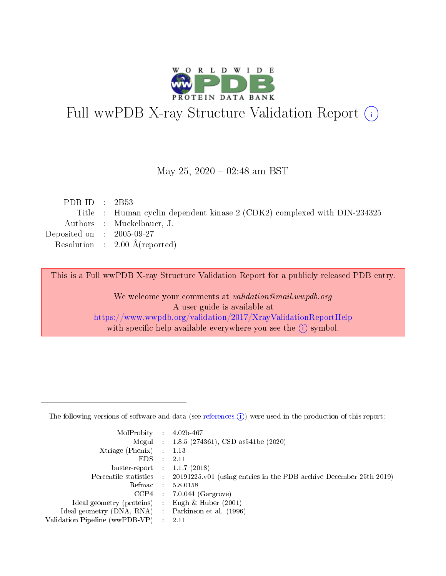

# Full wwPDB X-ray Structure Validation Report (i)

#### May 25,  $2020 - 02:48$  am BST

| PDB ID : $2B53$             |                                                                          |
|-----------------------------|--------------------------------------------------------------------------|
|                             | Title : Human cyclin dependent kinase 2 (CDK2) complexed with DIN-234325 |
|                             | Authors : Muckelbauer, J.                                                |
| Deposited on : $2005-09-27$ |                                                                          |
|                             | Resolution : $2.00 \text{ Å}$ (reported)                                 |
|                             |                                                                          |

This is a Full wwPDB X-ray Structure Validation Report for a publicly released PDB entry.

We welcome your comments at validation@mail.wwpdb.org A user guide is available at <https://www.wwpdb.org/validation/2017/XrayValidationReportHelp> with specific help available everywhere you see the  $(i)$  symbol.

The following versions of software and data (see [references](https://www.wwpdb.org/validation/2017/XrayValidationReportHelp#references)  $(1)$ ) were used in the production of this report:

| MolProbity :                   |               | $4.02b - 467$                                                               |
|--------------------------------|---------------|-----------------------------------------------------------------------------|
|                                |               | Mogul : $1.8.5$ (274361), CSD as 541be (2020)                               |
| $X$ triage (Phenix) :          |               | 1.13                                                                        |
| EDS.                           |               | 2.11                                                                        |
| buster-report : $1.1.7$ (2018) |               |                                                                             |
| Percentile statistics :        |               | $20191225 \text{v}01$ (using entries in the PDB archive December 25th 2019) |
| Refmac :                       |               | 5.8.0158                                                                    |
| $CCP4$ :                       |               | $7.0.044$ (Gargrove)                                                        |
| Ideal geometry (proteins) :    |               | Engh $\&$ Huber (2001)                                                      |
| Ideal geometry (DNA, RNA) :    |               | Parkinson et al. (1996)                                                     |
| Validation Pipeline (wwPDB-VP) | $\mathcal{L}$ | 2.11                                                                        |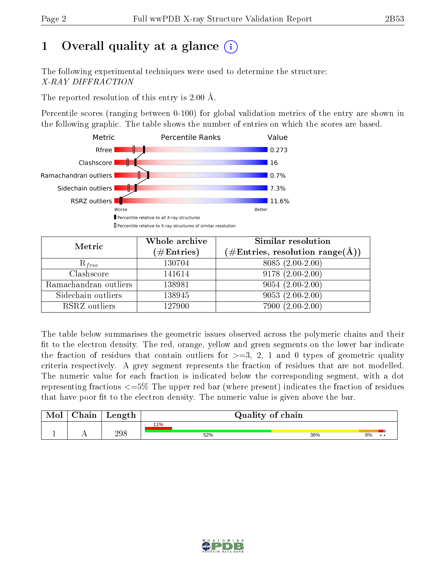# 1 [O](https://www.wwpdb.org/validation/2017/XrayValidationReportHelp#overall_quality)verall quality at a glance  $(i)$

The following experimental techniques were used to determine the structure: X-RAY DIFFRACTION

The reported resolution of this entry is 2.00 Å.

Percentile scores (ranging between 0-100) for global validation metrics of the entry are shown in the following graphic. The table shows the number of entries on which the scores are based.



| Metric                | Whole archive        | Similar resolution                                                     |
|-----------------------|----------------------|------------------------------------------------------------------------|
|                       | $(\#\text{Entries})$ | $(\#\text{Entries},\,\text{resolution}\,\,\text{range}(\textup{\AA}))$ |
| $R_{free}$            | 130704               | $8085(2.00-2.00)$                                                      |
| Clashscore            | 141614               | $9178(2.00-2.00)$                                                      |
| Ramachandran outliers | 138981               | $9054(2.00-2.00)$                                                      |
| Sidechain outliers    | 138945               | $9053(2.00-2.00)$                                                      |
| RSRZ outliers         | 127900               | $7900(2.00-2.00)$                                                      |

The table below summarises the geometric issues observed across the polymeric chains and their fit to the electron density. The red, orange, yellow and green segments on the lower bar indicate the fraction of residues that contain outliers for  $>=3, 2, 1$  and 0 types of geometric quality criteria respectively. A grey segment represents the fraction of residues that are not modelled. The numeric value for each fraction is indicated below the corresponding segment, with a dot representing fractions  $\epsilon=5\%$  The upper red bar (where present) indicates the fraction of residues that have poor fit to the electron density. The numeric value is given above the bar.

| Mol       | $\gamma$ hain | Length | Quality of chain |     |    |  |  |  |
|-----------|---------------|--------|------------------|-----|----|--|--|--|
|           |               |        | 11%              |     |    |  |  |  |
| <u>д.</u> | . .           | 298    | 52%              | 36% | 8% |  |  |  |

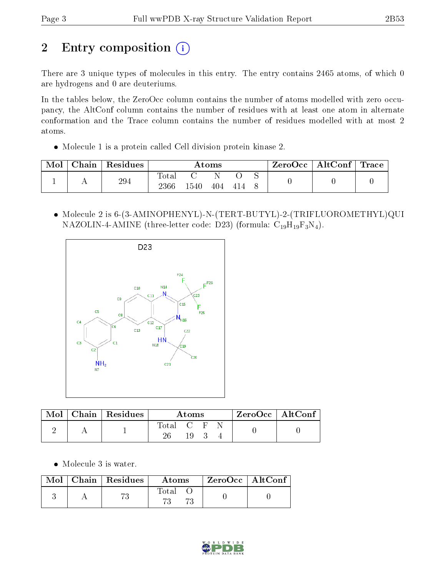# 2 Entry composition (i)

There are 3 unique types of molecules in this entry. The entry contains 2465 atoms, of which 0 are hydrogens and 0 are deuteriums.

In the tables below, the ZeroOcc column contains the number of atoms modelled with zero occupancy, the AltConf column contains the number of residues with at least one atom in alternate conformation and the Trace column contains the number of residues modelled with at most 2 atoms.

Molecule 1 is a protein called Cell division protein kinase 2.

| Mol | Chain | $\,$ Residues | Atoms        |      |     |  | $\text{ZeroOcc} \mid \text{AltConf} \mid \text{Trace}$ |  |  |
|-----|-------|---------------|--------------|------|-----|--|--------------------------------------------------------|--|--|
|     |       | 294           | <b>Total</b> |      |     |  |                                                        |  |  |
|     |       |               | 2366         | 1540 | 404 |  |                                                        |  |  |

 Molecule 2 is 6-(3-AMINOPHENYL)-N-(TERT-BUTYL)-2-(TRIFLUOROMETHYL)QUI NAZOLIN-4-AMINE (three-letter code: D23) (formula:  $C_{19}H_{19}F_3N_4$ ).



| Mol | $\vert$ Chain $\vert$ Residues | Atoms                                                               |  |  |  | $ZeroOcc$   AltConf |
|-----|--------------------------------|---------------------------------------------------------------------|--|--|--|---------------------|
|     |                                | $\begin{array}{ccc} \text{Total} & \text{C} & \text{F} \end{array}$ |  |  |  |                     |

Molecule 3 is water.

| $\text{Mol}$ | $\vert$ Chain $\vert$ Residues | <b>Atoms</b> | ZeroOcc   AltConf |  |
|--------------|--------------------------------|--------------|-------------------|--|
|              |                                | Total        |                   |  |

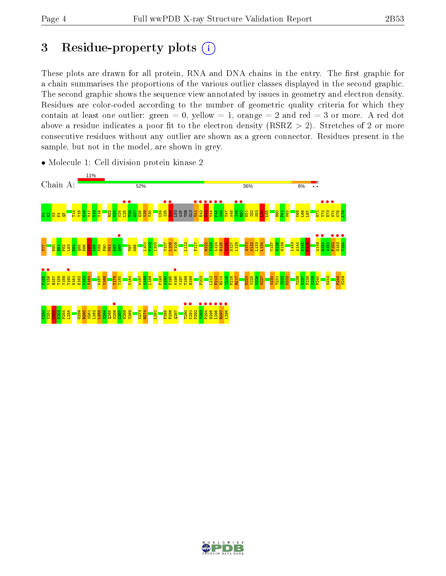## 3 Residue-property plots  $(i)$

These plots are drawn for all protein, RNA and DNA chains in the entry. The first graphic for a chain summarises the proportions of the various outlier classes displayed in the second graphic. The second graphic shows the sequence view annotated by issues in geometry and electron density. Residues are color-coded according to the number of geometric quality criteria for which they contain at least one outlier: green  $= 0$ , yellow  $= 1$ , orange  $= 2$  and red  $= 3$  or more. A red dot above a residue indicates a poor fit to the electron density (RSRZ  $> 2$ ). Stretches of 2 or more consecutive residues without any outlier are shown as a green connector. Residues present in the sample, but not in the model, are shown in grey.



• Molecule 1: Cell division protein kinase 2

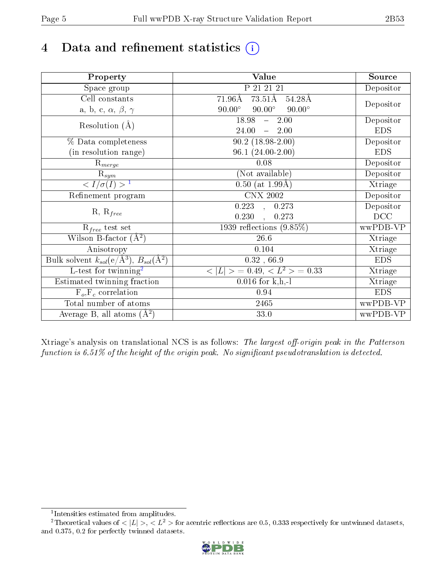# 4 Data and refinement statistics  $(i)$

| Property                                                             | Value                                            | Source     |
|----------------------------------------------------------------------|--------------------------------------------------|------------|
| Space group                                                          | P 21 21 21                                       | Depositor  |
| Cell constants                                                       | $73.51\text{\AA}$<br>$71.96\text{\AA}$<br>54.28Å |            |
| a, b, c, $\alpha$ , $\beta$ , $\gamma$                               | $90.00^\circ$<br>$90.00^\circ$<br>$90.00^\circ$  | Depositor  |
| Resolution $(A)$                                                     | 18.98<br>2.00<br>$\frac{1}{2}$                   | Depositor  |
|                                                                      | 24.00<br>$-2.00$                                 | <b>EDS</b> |
| % Data completeness                                                  | $90.2(18.98-2.00)$                               | Depositor  |
| (in resolution range)                                                | $96.1(24.00-2.00)$                               | <b>EDS</b> |
| $\mathrm{R}_{merge}$                                                 | 0.08                                             | Depositor  |
| $\mathrm{R}_{sym}$                                                   | (Not available)                                  | Depositor  |
| $\sqrt{I/\sigma}(I) > 1$                                             | $0.50$ (at 1.99Å)                                | Xtriage    |
| Refinement program                                                   | <b>CNX 2002</b>                                  | Depositor  |
|                                                                      | 0.223<br>0.273<br>П,                             | Depositor  |
| $R, R_{free}$                                                        | 0.230<br>0.273                                   | DCC        |
| $R_{free}$ test set                                                  | 1939 reflections $(9.85\%)$                      | wwPDB-VP   |
| Wilson B-factor $(A^2)$                                              | 26.6                                             | Xtriage    |
| Anisotropy                                                           | 0.104                                            | Xtriage    |
| Bulk solvent $k_{sol}(e/\mathring{A}^3)$ , $B_{sol}(\mathring{A}^2)$ | $0.32$ , $66.9$                                  | <b>EDS</b> |
| $\overline{L-test for }$ twinning <sup>2</sup>                       | $< L >$ = 0.49, $< L2$ = 0.33                    | Xtriage    |
| Estimated twinning fraction                                          | $0.016$ for k,h,-l                               | Xtriage    |
| $F_o, F_c$ correlation                                               | 0.94                                             | <b>EDS</b> |
| Total number of atoms                                                | 2465                                             | wwPDB-VP   |
| Average B, all atoms $(A^2)$                                         | 33.0                                             | wwPDB-VP   |

Xtriage's analysis on translational NCS is as follows: The largest off-origin peak in the Patterson function is  $6.51\%$  of the height of the origin peak. No significant pseudotranslation is detected.

<sup>&</sup>lt;sup>2</sup>Theoretical values of  $\langle |L| \rangle$ ,  $\langle L^2 \rangle$  for acentric reflections are 0.5, 0.333 respectively for untwinned datasets, and 0.375, 0.2 for perfectly twinned datasets.



<span id="page-4-1"></span><span id="page-4-0"></span><sup>1</sup> Intensities estimated from amplitudes.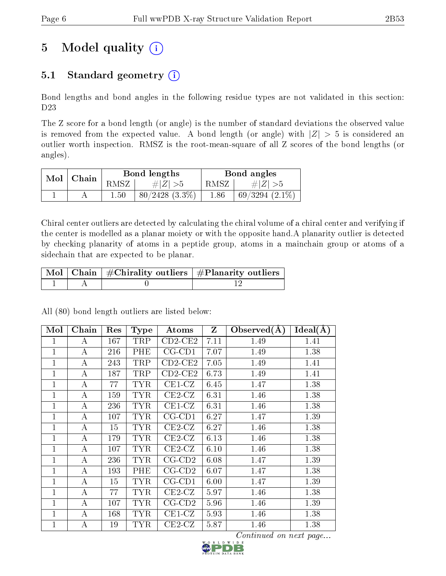# 5 Model quality  $(i)$

## 5.1 Standard geometry  $(i)$

Bond lengths and bond angles in the following residue types are not validated in this section: D23

The Z score for a bond length (or angle) is the number of standard deviations the observed value is removed from the expected value. A bond length (or angle) with  $|Z| > 5$  is considered an outlier worth inspection. RMSZ is the root-mean-square of all Z scores of the bond lengths (or angles).

| $Mol$   Chain |          | Bond lengths        | Bond angles |                     |  |
|---------------|----------|---------------------|-------------|---------------------|--|
|               | RMSZ     | $\# Z  > 5$         | RMSZ        | # $ Z  > 5$         |  |
|               | $1.50\,$ | $80/2428$ $(3.3\%)$ | 1.86        | $69/3294$ $(2.1\%)$ |  |

Chiral center outliers are detected by calculating the chiral volume of a chiral center and verifying if the center is modelled as a planar moiety or with the opposite hand.A planarity outlier is detected by checking planarity of atoms in a peptide group, atoms in a mainchain group or atoms of a sidechain that are expected to be planar.

|  | $\mid$ Mol $\mid$ Chain $\mid$ #Chirality outliers $\mid$ #Planarity outliers $\mid$ |
|--|--------------------------------------------------------------------------------------|
|  |                                                                                      |

All (80) bond length outliers are listed below:

| Mol            | Chain            | Res | <b>Type</b> | Atoms                   | $\mathbf{Z}$ | Observed $(A)$ | $Ideal(\AA)$ |
|----------------|------------------|-----|-------------|-------------------------|--------------|----------------|--------------|
| 1              | А                | 167 | TRP         | $CD2$ -CE2              | 7.11         | 1.49           | 1.41         |
| 1              | А                | 216 | PHE         | $CG$ - $CD1$            | 7.07         | 1.49           | 1.38         |
| 1              | А                | 243 | TRP         | $CD2$ -CE2              | 7.05         | 1.49           | 1.41         |
| $\mathbf{1}$   | А                | 187 | TRP         | $CD2$ -CE2              | 6.73         | 1.49           | 1.41         |
| $\mathbf{1}$   | $\boldsymbol{A}$ | 77  | <b>TYR</b>  | $CE1-CZ$                | 6.45         | 1.47           | 1.38         |
| 1              | А                | 159 | <b>TYR</b>  | $CE2-CZ$                | 6.31         | 1.46           | 1.38         |
| $\mathbf{1}$   | А                | 236 | <b>TYR</b>  | $CE1-CZ$                | 6.31         | 1.46           | 1.38         |
| $\mathbf{1}$   | А                | 107 | <b>TYR</b>  | $CG$ - $CD1$            | 6.27         | 1.47           | 1.39         |
| 1              | А                | 15  | <b>TYR</b>  | $CE2-CZ$                | 6.27         | 1.46           | 1.38         |
| 1              | А                | 179 | <b>TYR</b>  | $CE2-CZ$                | 6.13         | 1.46           | 1.38         |
| 1              | А                | 107 | <b>TYR</b>  | $CE2-CZ$                | 6.10         | 1.46           | 1.38         |
| 1              | А                | 236 | <b>TYR</b>  | $CG$ - $CD2$            | 6.08         | 1.47           | 1.39         |
| 1              | А                | 193 | PHE         | $CG$ - $CD2$            | 6.07         | 1.47           | 1.38         |
| 1              | А                | 15  | <b>TYR</b>  | $CG$ - $CD1$            | 6.00         | 1.47           | 1.39         |
| 1              | А                | 77  | <b>TYR</b>  | $CE2-CZ$                | 5.97         | 1.46           | 1.38         |
| 1              | А                | 107 | <b>TYR</b>  | $CG$ -CD <sub>2</sub>   | 5.96         | 1.46           | 1.39         |
| $\overline{1}$ | A                | 168 | <b>TYR</b>  | $\operatorname{CE1-CZ}$ | 5.93         | 1.46           | 1.38         |
| $\mathbf{1}$   | А                | 19  | TYR         | $CE2-CZ$                | 5.87         | 1.46           | 1.38         |

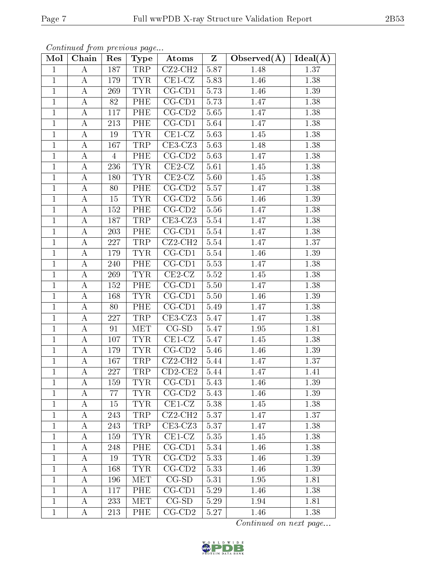| Mol            | contenta ca promo procto ao pago<br>Chain | Res            | Type       | Atoms                        | $\mathbf{Z}$ | Observed $(\AA)$ | Ideal( $\overline{A}$ ) |
|----------------|-------------------------------------------|----------------|------------|------------------------------|--------------|------------------|-------------------------|
| $\mathbf{1}$   | $\bf{A}$                                  | 187            | <b>TRP</b> | $CZ2-CH2$                    | 5.87         | 1.48             | 1.37                    |
| $\mathbf{1}$   | $\bf{A}$                                  | 179            | <b>TYR</b> | $CE1-CZ$                     | 5.83         | 1.46             | 1.38                    |
| $\overline{1}$ | $\bf{A}$                                  | 269            | <b>TYR</b> | $\overline{\text{CG-CD1}}$   | 5.73         | 1.46             | 1.39                    |
| $\mathbf{1}$   | $\bf{A}$                                  | 82             | PHE        | $CG$ - $CD1$                 | 5.73         | 1.47             | 1.38                    |
| $\mathbf{1}$   | $\bf{A}$                                  | 117            | PHE        | $\overline{CG}$ -CD2         | 5.65         | 1.47             | 1.38                    |
| $\mathbf{1}$   | $\boldsymbol{A}$                          | 213            | PHE        | $CG$ - $CD1$                 | 5.64         | 1.47             | 1.38                    |
| $\mathbf{1}$   | A                                         | 19             | <b>TYR</b> | $CE1-CZ$                     | 5.63         | 1.45             | 1.38                    |
| $\overline{1}$ | $\bf{A}$                                  | 167            | <b>TRP</b> | $CE3-CZ3$                    | 5.63         | 1.48             | 1.38                    |
| $\mathbf{1}$   | A                                         | $\overline{4}$ | PHE        | $CG$ - $CD2$                 | 5.63         | 1.47             | 1.38                    |
| $\mathbf{1}$   | $\boldsymbol{A}$                          | 236            | <b>TYR</b> | $CE2-CZ$                     | 5.61         | 1.45             | 1.38                    |
| $\mathbf{1}$   | A                                         | 180            | <b>TYR</b> | $\overline{\text{CE2-CZ}}$   | 5.60         | 1.45             | 1.38                    |
| $\mathbf{1}$   | $\bf{A}$                                  | 80             | PHE        | $CG$ - $CD2$                 | 5.57         | 1.47             | 1.38                    |
| $\mathbf{1}$   | $\boldsymbol{A}$                          | 15             | <b>TYR</b> | $CG-CD2$                     | 5.56         | 1.46             | 1.39                    |
| $\mathbf{1}$   | $\boldsymbol{A}$                          | 152            | PHE        | $CG$ - $CD2$                 | 5.56         | 1.47             | 1.38                    |
| $\mathbf{1}$   | A                                         | 187            | TRP        | $CE3-CZ3$                    | 5.54         | 1.47             | 1.38                    |
| $\mathbf{1}$   | A                                         | 203            | PHE        | $CG$ - $CD1$                 | 5.54         | 1.47             | 1.38                    |
| $\mathbf{1}$   | $\bf{A}$                                  | 227            | TRP        | $CZ2-CH2$                    | 5.54         | 1.47             | 1.37                    |
| $\mathbf{1}$   | А                                         | 179            | <b>TYR</b> | $CG$ - $CD1$                 | 5.54         | 1.46             | 1.39                    |
| $\mathbf{1}$   | A                                         | 240            | PHE        | $CG$ - $CD1$                 | 5.53         | 1.47             | 1.38                    |
| $\mathbf{1}$   | A                                         | 269            | <b>TYR</b> | $CE2-CZ$                     | 5.52         | 1.45             | 1.38                    |
| $\mathbf{1}$   | $\bf{A}$                                  | 152            | PHE        | $\overline{CG}$ -CD1         | 5.50         | 1.47             | 1.38                    |
| $\mathbf{1}$   | $\bf{A}$                                  | 168            | <b>TYR</b> | $CG$ - $CD1$                 | 5.50         | 1.46             | 1.39                    |
| $\mathbf{1}$   | $\boldsymbol{A}$                          | 80             | PHE        | $CG$ - $CD1$                 | 5.49         | 1.47             | 1.38                    |
| $\mathbf{1}$   | $\bf{A}$                                  | 227            | TRP        | $\overline{\text{CE}}3$ -CZ3 | 5.47         | 1.47             | 1.38                    |
| $\mathbf{1}$   | $\bf{A}$                                  | 91             | <b>MET</b> | $\overline{CG-SD}$           | 5.47         | 1.95             | 1.81                    |
| $\mathbf{1}$   | $\bf{A}$                                  | 107            | <b>TYR</b> | $CE1-CZ$                     | 5.47         | 1.45             | 1.38                    |
| $\mathbf{1}$   | $\bf{A}$                                  | 179            | <b>TYR</b> | $CG-CD2$                     | 5.46         | 1.46             | 1.39                    |
| $\mathbf{1}$   | A                                         | 167            | TRP        | $CZ2-CH2$                    | 5.44         | 1.47             | 1.37                    |
| $\mathbf{1}$   | $\bf{A}$                                  | 227            | TRP        | $CD2$ -CE2                   | 5.44         | 1.47             | 1.41                    |
| $\mathbf{1}$   | А                                         | 159            | <b>TYR</b> | $CG$ - $CD1$                 | 5.43         | 1.46             | 1.39                    |
| $\mathbf{1}$   | А                                         | 77             | <b>TYR</b> | $CG$ - $CD2$                 | 5.43         | 1.46             | 1.39                    |
| $\mathbf{1}$   | A                                         | 15             | <b>TYR</b> | $CE1-CZ$                     | 5.38         | 1.45             | 1.38                    |
| 1              | А                                         | 243            | TRP        | $CZ2-CH2$                    | 5.37         | 1.47             | 1.37                    |
| 1              | А                                         | 243            | TRP        | $CE3-CZ3$                    | 5.37         | 1.47             | 1.38                    |
| 1              | А                                         | 159            | <b>TYR</b> | $CE1-CZ$                     | 5.35         | 1.45             | 1.38                    |
| $\mathbf{1}$   | A                                         | 248            | <b>PHE</b> | $CG$ - $CD1$                 | 5.34         | 1.46             | 1.38                    |
| $\mathbf{1}$   | А                                         | 19             | <b>TYR</b> | $CG$ - $CD2$                 | 5.33         | 1.46             | 1.39                    |
| $\mathbf{1}$   | A                                         | 168            | <b>TYR</b> | $\overline{\text{CG-CD2}}$   | 5.33         | 1.46             | 1.39                    |
| $\mathbf{1}$   | А                                         | 196            | <b>MET</b> | $CG-SD$                      | 5.31         | 1.95             | 1.81                    |
| $\mathbf{1}$   | A                                         | 117            | <b>PHE</b> | $CG$ - $CD1$                 | 5.29         | 1.46             | 1.38                    |
| $\mathbf{1}$   | А                                         | 233            | <b>MET</b> | $CG-SD$                      | 5.29         | 1.94             | 1.81                    |
| $\mathbf{1}$   | А                                         | $213\,$        | PHE        | $CG$ - $CD2$                 | 5.27         | 1.46             | 1.38                    |

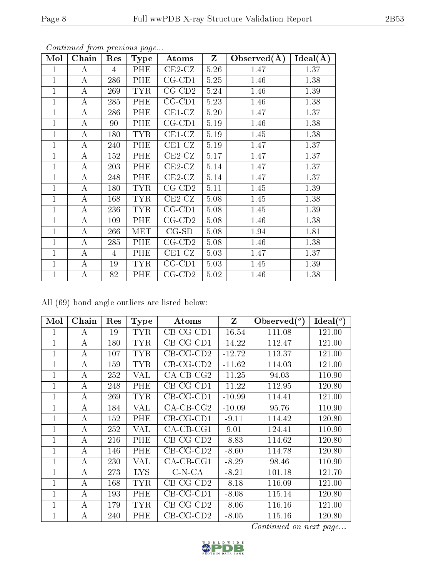| Mol            | Chain    | Res            | <b>Type</b> | Atoms        | $Z_{\parallel}$ | Observed $(A)$ | Ideal(A) |
|----------------|----------|----------------|-------------|--------------|-----------------|----------------|----------|
| 1              | $\bf{A}$ | $\overline{4}$ | PHE         | $CE2-CZ$     | 5.26            | 1.47           | 1.37     |
| 1              | A        | 286            | <b>PHE</b>  | $CG$ - $CD1$ | 5.25            | 1.46           | 1.38     |
| $\overline{1}$ | $\bf{A}$ | 269            | <b>TYR</b>  | $CG$ - $CD2$ | 5.24            | 1.46           | 1.39     |
| 1              | A        | 285            | <b>PHE</b>  | $CG$ - $CD1$ | 5.23            | 1.46           | 1.38     |
| $\mathbf{1}$   | $\bf{A}$ | 286            | PHE         | $CE1-CZ$     | 5.20            | 1.47           | 1.37     |
| 1              | A        | 90             | <b>PHE</b>  | $CG$ - $CD1$ | 5.19            | 1.46           | 1.38     |
| $\mathbf{1}$   | $\bf{A}$ | 180            | <b>TYR</b>  | $CE1-CZ$     | 5.19            | 1.45           | 1.38     |
| $\mathbf{1}$   | A        | 240            | PHE         | $CE1-CZ$     | 5.19            | 1.47           | 1.37     |
| $\mathbf{1}$   | $\bf{A}$ | 152            | PHE         | $CE2-CZ$     | 5.17            | 1.47           | 1.37     |
| 1              | A        | 203            | <b>PHE</b>  | $CE2-CZ$     | 5.14            | 1.47           | 1.37     |
| $\mathbf{1}$   | $\bf{A}$ | 248            | PHE         | $CE2-CZ$     | 5.14            | 1.47           | 1.37     |
| 1              | A        | 180            | TYR.        | $CG$ - $CD2$ | 5.11            | 1.45           | 1.39     |
| $\mathbf 1$    | $\bf{A}$ | 168            | <b>TYR</b>  | $CE2-CZ$     | 5.08            | 1.45           | 1.38     |
| 1              | $\bf{A}$ | 236            | TYR.        | $CG$ - $CD1$ | 5.08            | 1.45           | 1.39     |
| $\mathbf 1$    | $\bf{A}$ | 109            | <b>PHE</b>  | $CG$ - $CD2$ | 5.08            | 1.46           | 1.38     |
| 1              | A        | 266            | MET         | $CG-SD$      | 5.08            | 1.94           | 1.81     |
| $\overline{1}$ | $\bf{A}$ | 285            | PHE         | $CG$ - $CD2$ | 5.08            | 1.46           | 1.38     |
| $\mathbf{1}$   | A        | $\overline{4}$ | PHE         | $CE1-CZ$     | 5.03            | 1.47           | 1.37     |
| $\overline{1}$ | $\bf{A}$ | 19             | <b>TYR</b>  | $CG$ - $CD1$ | 5.03            | 1.45           | 1.39     |
| $\mathbf{1}$   | $\bf{A}$ | 82             | PHE         | $CG$ - $CD2$ | 5.02            | 1.46           | 1.38     |

All (69) bond angle outliers are listed below:

| Mol          | Chain | Res | <b>Type</b> | <b>Atoms</b> | Z        | Observed $(°)$ | Ideal $(^\circ)$ |
|--------------|-------|-----|-------------|--------------|----------|----------------|------------------|
| 1            | А     | 19  | <b>TYR</b>  | $CB-CG-CD1$  | $-16.54$ | 111.08         | 121.00           |
| 1            | А     | 180 | <b>TYR</b>  | $CB-CG-CD1$  | $-14.22$ | 112.47         | 121.00           |
| $\mathbf{1}$ | А     | 107 | <b>TYR</b>  | $CB-CG-CD2$  | $-12.72$ | 113.37         | 121.00           |
| 1            | А     | 159 | <b>TYR</b>  | $CB-CG-CD2$  | $-11.62$ | 114.03         | 121.00           |
| 1            | А     | 252 | VAL         | $CA$ -CB-CG2 | $-11.25$ | 94.03          | 110.90           |
| 1            | А     | 248 | PHE         | $CB-CG-CD1$  | $-11.22$ | 112.95         | 120.80           |
| 1            | А     | 269 | <b>TYR</b>  | $CB-CG-CD1$  | $-10.99$ | 114.41         | 121.00           |
| 1            | А     | 184 | VAL         | $CA-CB-CG2$  | $-10.09$ | 95.76          | 110.90           |
| 1            | А     | 152 | PHE         | $CB-CG-CD1$  | $-9.11$  | 114.42         | 120.80           |
| $\mathbf 1$  | А     | 252 | VAL         | $CA$ -CB-CG1 | 9.01     | 124.41         | 110.90           |
| 1            | А     | 216 | PHE         | $CB-CG-CD2$  | $-8.83$  | 114.62         | 120.80           |
| 1            | А     | 146 | PHE         | $CB-CG-CD2$  | $-8.60$  | 114.78         | 120.80           |
| 1            | А     | 230 | VAL         | $CA$ -CB-CG1 | $-8.29$  | 98.46          | 110.90           |
| $\mathbf 1$  | А     | 273 | <b>LYS</b>  | $C-N-CA$     | $-8.21$  | 101.18         | 121.70           |
| $\mathbf 1$  | А     | 168 | TYR         | $CB-CG-CD2$  | $-8.18$  | 116.09         | 121.00           |
| 1            | А     | 193 | PHE         | $CB-CG-CD1$  | $-8.08$  | 115.14         | 120.80           |
| $\mathbf 1$  | А     | 179 | <b>TYR</b>  | $CB-CG-CD2$  | $-8.06$  | 116.16         | 121.00           |
| $\mathbf{1}$ | А     | 240 | PHE         | $CB-CG-CD2$  | $-8.05$  | 115.16         | 120.80           |

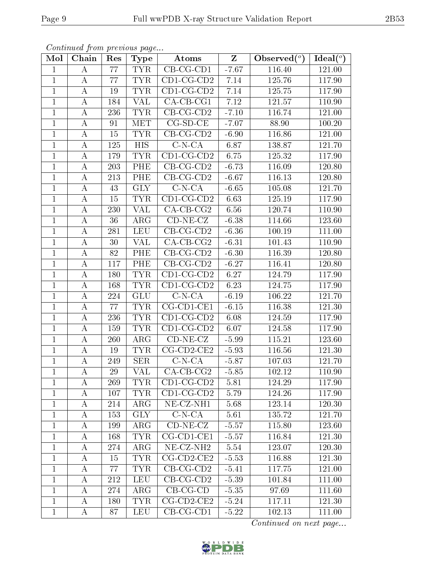| Mol            | Chain            | Res | <b>Type</b>             | Atoms                          | $\mathbf{Z}$ | Observed $(°)$ | Ideal $({}^o)$      |
|----------------|------------------|-----|-------------------------|--------------------------------|--------------|----------------|---------------------|
| $\mathbf{1}$   | А                | 77  | <b>TYR</b>              | $CB-CG-CD1$                    | $-7.67$      | 116.40         | 121.00              |
| $\mathbf{1}$   | А                | 77  | <b>TYR</b>              | $CD1$ -CG-CD2                  | 7.14         | 125.76         | 117.90              |
| $\mathbf{1}$   | А                | 19  | <b>TYR</b>              | $CD1$ -CG-CD2                  | $7.14\,$     | 125.75         | 117.90              |
| $\mathbf{1}$   | $\boldsymbol{A}$ | 184 | <b>VAL</b>              | $CA$ -CB-CG1                   | 7.12         | 121.57         | 110.90              |
| $\mathbf{1}$   | А                | 236 | <b>TYR</b>              | $CB-CG-CD2$                    | $-7.10$      | 116.74         | $\overline{1}21.00$ |
| $\mathbf{1}$   | А                | 91  | MET                     | $CG-SD-CE$                     | $-7.07$      | 88.90          | 100.20              |
| $\mathbf{1}$   | А                | 15  | <b>TYR</b>              | $CB$ -CG-CD2                   | $-6.90$      | 116.86         | 121.00              |
| $\mathbf{1}$   | $\boldsymbol{A}$ | 125 | <b>HIS</b>              | $C-N-CA$                       | 6.87         | 138.87         | 121.70              |
| $\mathbf{1}$   | A                | 179 | <b>TYR</b>              | $CD1$ -CG-CD2                  | 6.75         | 125.32         | 117.90              |
| $\mathbf{1}$   | $\boldsymbol{A}$ | 203 | PHE                     | $CB-CG-CD2$                    | $-6.73$      | 116.09         | 120.80              |
| $\mathbf{1}$   | A                | 213 | PHE                     | $CB-CG-CD2$                    | $-6.67$      | 116.13         | 120.80              |
| $\overline{1}$ | $\boldsymbol{A}$ | 43  | $\overline{\text{GLY}}$ | $C-N-CA$                       | $-6.65$      | 105.08         | 121.70              |
| $\mathbf{1}$   | $\boldsymbol{A}$ | 15  | <b>TYR</b>              | $\overline{\text{CD1-CG-CD2}}$ | 6.63         | 125.19         | 117.90              |
| $\mathbf{1}$   | А                | 230 | <b>VAL</b>              | $CA$ -CB-CG2                   | 6.56         | 120.74         | 110.90              |
| $\mathbf{1}$   | $\boldsymbol{A}$ | 36  | $\rm{ARG}$              | $CD-NE- CZ$                    | $-6.38$      | 114.66         | 123.60              |
| $\mathbf{1}$   | А                | 281 | LEU                     | $CB-CG-CD2$                    | $-6.36$      | 100.19         | 111.00              |
| $\mathbf{1}$   | $\boldsymbol{A}$ | 30  | VAL                     | $CA$ -CB-CG2                   | $-6.31$      | 101.43         | 110.90              |
| $\mathbf{1}$   | $\boldsymbol{A}$ | 82  | PHE                     | $CB-CG-CD2$                    | $-6.30$      | 116.39         | 120.80              |
| $\mathbf 1$    | $\boldsymbol{A}$ | 117 | PHE                     | $CB-CG-CD2$                    | $-6.27$      | 116.41         | 120.80              |
| $\mathbf{1}$   | А                | 180 | <b>TYR</b>              | $CD1$ -CG-CD2                  | 6.27         | 124.79         | 117.90              |
| $\mathbf{1}$   | А                | 168 | <b>TYR</b>              | $CD1$ -CG-CD2                  | 6.23         | 124.75         | 117.90              |
| $\mathbf{1}$   | А                | 224 | GLU                     | $C-N-CA$                       | $-6.19$      | 106.22         | 121.70              |
| $\mathbf{1}$   | $\boldsymbol{A}$ | 77  | <b>TYR</b>              | $CG$ - $CD$ 1- $CE$ 1          | $-6.15$      | 116.38         | 121.30              |
| $\mathbf{1}$   | А                | 236 | <b>TYR</b>              | $CD1$ -CG-CD2                  | 6.08         | 124.59         | 117.90              |
| $\mathbf{1}$   | А                | 159 | <b>TYR</b>              | $CD1$ -CG-CD2                  | 6.07         | 124.58         | 117.90              |
| $\mathbf{1}$   | Α                | 260 | $\rm{ARG}$              | $CD-NE- CZ$                    | $-5.99$      | 115.21         | 123.60              |
| $\mathbf{1}$   | $\boldsymbol{A}$ | 19  | <b>TYR</b>              | $CG$ -CD2-CE2                  | $-5.93$      | 116.56         | 121.30              |
| $\mathbf{1}$   | A                | 249 | <b>SER</b>              | $C-N-CA$                       | $-5.87$      | 107.03         | 121.70              |
| $\mathbf{1}$   | $\boldsymbol{A}$ | 29  | VAL                     | $CA$ -CB-CG2                   | $-5.85$      | 102.12         | 110.90              |
| $\perp$        | А                | 269 | TYR.                    | $CD1$ -CG-CD2                  | 5.81         | 124.29         | 117.90              |
| $\mathbf{1}$   | А                | 107 | <b>TYR</b>              | $CD1$ -CG-CD2                  | 5.79         | 124.26         | 117.90              |
| $\mathbf{1}$   | A                | 214 | $\rm{ARG}$              | NE-CZ-NH1                      | 5.68         | 123.14         | 120.30              |
| $\mathbf{1}$   | А                | 153 | <b>GLY</b>              | $C-N-CA$                       | 5.61         | 135.72         | 121.70              |
| $\mathbf{1}$   | A                | 199 | $\rm{ARG}$              | $CD-NE- CZ$                    | $-5.57$      | 115.80         | 123.60              |
| $\mathbf{1}$   | А                | 168 | <b>TYR</b>              | $CG$ -CD1-CE1                  | $-5.57$      | 116.84         | 121.30              |
| 1              | A                | 274 | $\rm{ARG}$              | NE-CZ-NH <sub>2</sub>          | 5.54         | 123.07         | 120.30              |
| $\mathbf{1}$   | А                | 15  | <b>TYR</b>              | $CG$ - $CD2$ - $CE2$           | $-5.53$      | 116.88         | 121.30              |
| 1              | A                | 77  | <b>TYR</b>              | $CB-CG-CD2$                    | $-5.41$      | 117.75         | 121.00              |
| $\mathbf{1}$   | А                | 212 | <b>LEU</b>              | $CB-CG-CD2$                    | $-5.39$      | 101.84         | 111.00              |
| $\mathbf{1}$   | А                | 274 | $\rm{ARG}$              | $CB-CG-CD$                     | $-5.35$      | 97.69          | 111.60              |
| $\mathbf{1}$   | A                | 180 | <b>TYR</b>              | $CG$ -CD2-CE2                  | $-5.24$      | 117.11         | 121.30              |
| $\mathbf 1$    | A                | 87  | ${\rm LEU}$             | $CB-CG-CD1$                    | $-5.22$      | 102.13         | 111.00              |

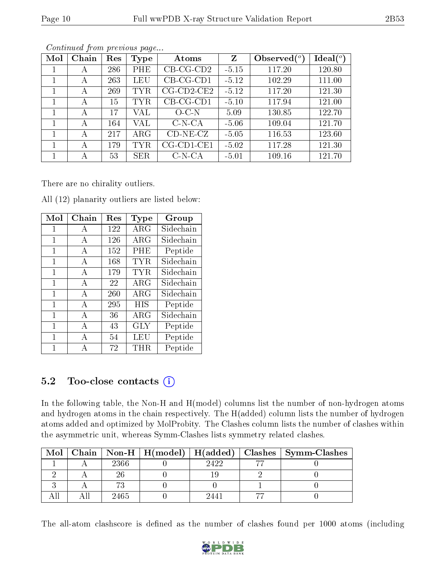| Mol | Chain | Res | <b>Type</b> | Atoms                 | Z       | Observed $(°)$ | Ideal $\binom{o}{c}$ |
|-----|-------|-----|-------------|-----------------------|---------|----------------|----------------------|
|     | А     | 286 | PHE         | $CB-CG-CD2$           | $-5.15$ | 117.20         | 120.80               |
|     | А     | 263 | LEU         | $CB-CG-CD1$           | $-5.12$ | 102.29         | 111.00               |
|     | А     | 269 | <b>TYR</b>  | $CG$ - $CD$ 2- $CE$ 2 | $-5.12$ | 117.20         | 121.30               |
|     | А     | 15  | <b>TYR</b>  | $CB-CG-CD1$           | $-5.10$ | 117.94         | 121.00               |
|     | А     | 17  | VAL         | $O-C-N$               | 5.09    | 130.85         | 122.70               |
|     | А     | 164 | VAL         | $C-N-CA$              | $-5.06$ | 109.04         | 121.70               |
| 1   | А     | 217 | $\rm{ARG}$  | $CD-NE- CZ$           | $-5.05$ | 116.53         | 123.60               |
|     | А     | 179 | TYR.        | $CG$ - $CD1$ - $CE1$  | $-5.02$ | 117.28         | 121.30               |
|     | А     | 53  | <b>SER</b>  | $C-N-CA$              | $-5.01$ | 109.16         | 121.70               |

There are no chirality outliers.

|  | All (12) planarity outliers are listed below: |  |  |
|--|-----------------------------------------------|--|--|
|  |                                               |  |  |

| Mol | Chain | Res | Type                    | Group     |
|-----|-------|-----|-------------------------|-----------|
| 1   | A     | 122 | $\overline{\text{ARG}}$ | Sidechain |
| 1   | А     | 126 | $\rm{ARG}$              | Sidechain |
| 1   | А     | 152 | PHE                     | Peptide   |
| 1   | A     | 168 | TYR.                    | Sidechain |
| 1   | A     | 179 | TYR.                    | Sidechain |
| 1   | A     | 22  | ARG                     | Sidechain |
| 1   | A     | 260 | ARG                     | Sidechain |
| 1   | A     | 295 | <b>HIS</b>              | Peptide   |
| 1   | А     | 36  | $\rm{ARG}$              | Sidechain |
| 1   | A     | 43  | <b>GLY</b>              | Peptide   |
| 1   | А     | 54  | LEU                     | Peptide   |
| 1   | А     | 72  | THR                     | Peptide   |

### 5.2 Too-close contacts  $(i)$

In the following table, the Non-H and H(model) columns list the number of non-hydrogen atoms and hydrogen atoms in the chain respectively. The H(added) column lists the number of hydrogen atoms added and optimized by MolProbity. The Clashes column lists the number of clashes within the asymmetric unit, whereas Symm-Clashes lists symmetry related clashes.

| $\text{Mol} \perp$ |      |      | Chain   Non-H   H(model)   H(added)   Clashes   Symm-Clashes |
|--------------------|------|------|--------------------------------------------------------------|
|                    | 2366 | 9499 |                                                              |
|                    |      |      |                                                              |
|                    |      |      |                                                              |
|                    | 2465 | 244  |                                                              |

The all-atom clashscore is defined as the number of clashes found per 1000 atoms (including

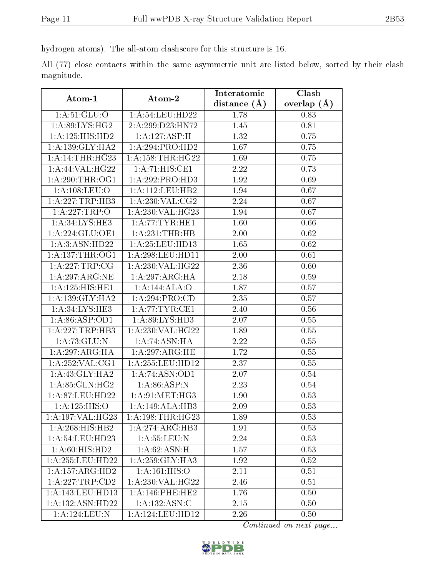hydrogen atoms). The all-atom clashscore for this structure is 16.

All (77) close contacts within the same asymmetric unit are listed below, sorted by their clash magnitude.

|                                        |                              | Interatomic    | Clash         |  |
|----------------------------------------|------------------------------|----------------|---------------|--|
| Atom-1                                 | Atom-2                       | distance $(A)$ | overlap $(A)$ |  |
| $1: A:51: \overline{GLU:O}$            | 1: A:54:LEU:HD22             | 1.78           | 0.83          |  |
| 1: A:89: LYS: HG2                      | 2: A: 299: D23: HN72         | 1.45           | 0.81          |  |
| 1:A:125:HIS:HD2                        | 1:A:127:ASP:H                | 1.32           | 0.75          |  |
| 1: A: 139: GLY: HA2                    | 1:A:294:PRO:HD2              | 1.67           | 0.75          |  |
| 1: A:14:THR:HG23                       | 1: A: 158: THR: HG22         | 1.69           | 0.75          |  |
| 1: A:44: VAL:HG22                      | 1:A:71:HIS:CE1               | 2.22           | 0.73          |  |
| 1: A:290:THR:OG1                       | 1:A:292:PRO:HD3              | 1.92           | 0.69          |  |
| 1:A:108:LEU:O                          | 1: A: 112: LEU: HB2          | 1.94           | 0.67          |  |
| 1:A:227:TRP:HB3                        | 1: A:230: VAL: CG2           | 2.24           | 0.67          |  |
| 1:A:227:TRP:O                          | 1:A:230:VAL:HG23             | 1.94           | 0.67          |  |
| 1: A:34: LYS: HE3                      | 1: A:77:TYR:HE1              | 1.60           | 0.66          |  |
| 1:A:224:GLU:OE1                        | 1:A:231:THR:HB               | 2.00           | 0.62          |  |
| 1: A:3: ASN: HD22                      | 1: A:25:LEU:HD13             | 1.65           | 0.62          |  |
| 1: A: 137: THR: OG1                    | 1: A:298:LEU:HD11            | 2.00           | 0.61          |  |
| 1: A:227:TRP:CG                        | 1: A:230: VAL:HG22           | 2.36           | 0.60          |  |
| 1:A:297:ARG:NE                         | 1: A:297: ARG: HA            | 2.18           | 0.59          |  |
| 1:A:125:HIS:HE1                        | 1:A:144:ALA:O                | 1.87           | 0.57          |  |
| 1: A:139: GLY:HA2                      | 1: A:294:PRO:CD              | 2.35           | 0.57          |  |
| 1: A:34: LYS: HE3                      | 1: A:77:TYR:CE1              | 2.40           | 0.56          |  |
| 1: A:86: ASP:OD1                       | 1:A:89:LYS:HD3               | 2.07           | 0.55          |  |
| 1: A: 227: TRP: HB3                    | 1:A:230:VAL:HG22             | 1.89           | 0.55          |  |
| 1: A:73: GLU:N                         | 1: A:74: ASN:HA              | 2.22           | 0.55          |  |
| 1:A:297:ARG:HA                         | 1:A:297:ARG:HE               | 1.72           | 0.55          |  |
| 1: A:252: VAL:CG1                      | 1:A:255:LEU:HD12             | 2.37           | 0.55          |  |
| 1: A:43: GLY:HA2                       | 1: A:74: ASN:OD1             | 2.07           | 0.54          |  |
| 1:A:85:GLN:HG2                         | 1: A:86: ASP: N              | 2.23           | 0.54          |  |
| 1:A:87:LEU:HD22                        | 1: A:91: MET:HG3             | 1.90           | 0.53          |  |
| 1:A:125:HIS:O                          | 1:A:149:ALA:HB3              | 2.09           | 0.53          |  |
| $1:A:197:\overline{\mathsf{VAL}}:HG23$ | 1:A:198:THR:HG23             | 1.89           | 0.53          |  |
| 1:A:268:HIS:HB2                        | $1:A:274:ARG:H\overline{B3}$ | 1.91           | 0.53          |  |
| 1:A:54:LEU:HD23                        | 1: A: 55: LEU: N             | 2.24           | 0.53          |  |
| 1: A:60: HIS: HD2                      | 1:A:62:ASN:H                 | 1.57           | 0.53          |  |
| 1:A:255:LEU:HD22                       | 1:A:259:GLY:HA3              | 1.92           | 0.52          |  |
| 1:A:157:ARG:HD2                        | 1: A:161: HIS:O              | 2.11           | 0.51          |  |
| 1:A:227:TRP:CD2                        | 1:A:230:VAL:HG22             | 2.46           | 0.51          |  |
| 1:A:143:LEU:HD13                       | 1: A:146:PHE:HE2             | 1.76           | 0.50          |  |
| 1:A:132:ASN:HD22                       | 1: A: 132: ASN: C            | 2.15           | 0.50          |  |
| 1:A:124:LEU:N                          | 1:A:124:LEU:HD12             | 2.26           | 0.50          |  |

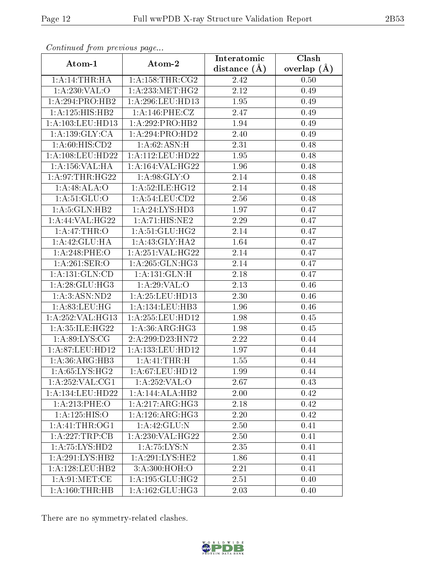| Commaca from previous page          |                     | Interatomic       | Clash         |
|-------------------------------------|---------------------|-------------------|---------------|
| Atom-1                              | Atom-2              | distance $(A)$    | overlap $(A)$ |
| 1:A:14:THR:HA                       | 1: A: 158: THR: CG2 | 2.42              | 0.50          |
| 1: A:230: VAL:O                     | 1: A: 233: MET: HG2 | $\overline{2.12}$ | 0.49          |
| 1:A:294:PRO:HB2                     | 1: A:296:LEU:HD13   | 1.95              | 0.49          |
| 1:A:125:HIS:HB2                     | 1:A:146:PHE:CZ      | 2.47              | 0.49          |
| 1: A: 103: LEU: HD13                | 1:A:292:PRO:HB2     | 1.94              | 0.49          |
| 1:A:139:GLY:CA                      | 1:A:294:PRO:HD2     | 2.40              | 0.49          |
| 1: A:60: HIS:CD2                    | 1:A:62:ASN:H        | 2.31              | 0.48          |
| 1: A: 108: LEU: HD22                | 1: A:112:LEU:HD22   | 1.95              | 0.48          |
| 1: A: 156: VAL: HA                  | 1:A:164:VAL:HG22    | 1.96              | 0.48          |
| 1: A:97:THR:HG22                    | 1: A:98: GLY:O      | 2.14              | 0.48          |
| 1:A:48:ALA:O                        | 1:A:52:ILE:HG12     | 2.14              | 0.48          |
| 1: A:51: GLU:O                      | 1:A:54:LEU:CD2      | 2.56              | 0.48          |
| 1: A: 5: GLN: HB2                   | 1:A:24:LYS:HD3      | 1.97              | 0.47          |
| 1:A:44:VAL:HG22                     | 1:A:71:HIS:NE2      | 2.29              | 0.47          |
| 1: A:47:THR:O                       | 1: A:51: GLU:HG2    | 2.14              | 0.47          |
| 1:A:42:GLU:HA                       | 1: A: 43: GLY: HA2  | 1.64              | 0.47          |
| 1:A:248:PHE:O                       | 1:A:251:VAL:HG22    | 2.14              | 0.47          |
| 1:A:261:SER:O                       | 1: A:265: GLN:HG3   | 2.14              | 0.47          |
| $1:A:\overline{131:GLN:CD}$         | 1:A:131:GLN:H       | 2.18              | 0.47          |
| 1: A:28: GLU:HG3                    | 1:A:29:VAL:O        | 2.13              | 0.46          |
| 1: A:3: ASN:ND2                     | 1: A:25:LEU:HD13    | 2.30              | 0.46          |
| 1: A:83: LEU: HG                    | 1:A:134:LEU:HB3     | 1.96              | 0.46          |
| 1:A:252:VAL:HG13                    | 1:A:255:LEU:HD12    | 1.98              | 0.45          |
| 1:A:35:ILE:HG22                     | 1: A:36: ARG: HG3   | 1.98              | 0.45          |
| 1: A:89: LYS: CG                    | 2:A:299:D23:HN72    | 2.22              | 0.44          |
| 1:A:87:LEU:HD12                     | 1:A:133:LEU:HD12    | 1.97              | 0.44          |
| 1: A: 36: ARG: HB3                  | 1:A:41:THR:H        | 1.55              | 0.44          |
| 1: A:65: LYS:HG2                    | 1: A:67:LEU:HD12    | 1.99              | 0.44          |
| $1:A:252:\overline{\text{VAL}:CG1}$ | 1:A:252:VAL:O       | 2.67              | 0.43          |
| 1:A:134:LEU:HD22                    | 1:A:144:ALA:HB2     | 2.00              | 0.42          |
| 1: A:213:PHE:O                      | 1:A:217:ARG:HG3     | 2.18              | 0.42          |
| 1:A:125:HIS:O                       | 1: A:126: ARG: HG3  | 2.20              | 0.42          |
| 1: A: 41: THE: OG1                  | 1: A:42: GLU:N      | 2.50              | 0.41          |
| 1:A:227:TRP:CB                      | 1:A:230:VAL:HG22    | 2.50              | 0.41          |
| 1:A:75:LYS:HD2                      | 1: A:75: LYS:N      | 2.35              | 0.41          |
| 1:A:291:LYS:HB2                     | 1: A:291:LYS:HE2    | 1.86              | 0.41          |
| 1: A:128:LEU:HB2                    | 3: A:300:HOH:O      | 2.21              | 0.41          |
| 1: A:91: MET:CE                     | 1:A:195:GLU:HG2     | 2.51              | 0.40          |
| 1: A:160:THR:HB                     | 1:A:162:GLU:HG3     | 2.03              | 0.40          |

There are no symmetry-related clashes.

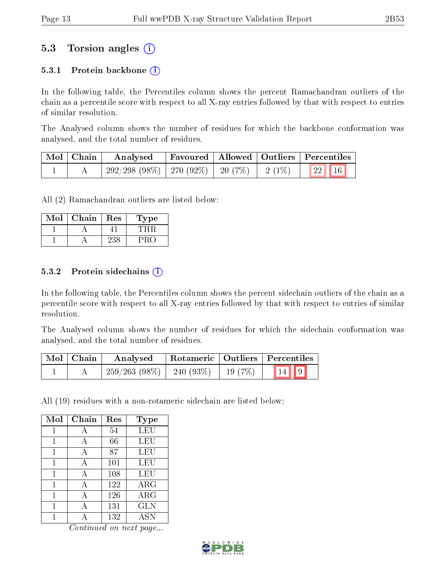### 5.3 Torsion angles (i)

#### 5.3.1 Protein backbone  $(i)$

In the following table, the Percentiles column shows the percent Ramachandran outliers of the chain as a percentile score with respect to all X-ray entries followed by that with respect to entries of similar resolution.

The Analysed column shows the number of residues for which the backbone conformation was analysed, and the total number of residues.

| Mol   Chain | Analysed                                           |  | Favoured   Allowed   Outliers   Percentiles              |
|-------------|----------------------------------------------------|--|----------------------------------------------------------|
|             | $292/298$ (98\%)   270 (92\%)   20 (7\%)   2 (1\%) |  | $\begin{array}{ c c c c }\n\hline\n22 & 16\n\end{array}$ |

All (2) Ramachandran outliers are listed below:

| Jol | Chain | Res | ype |
|-----|-------|-----|-----|
|     |       |     |     |
|     |       |     |     |

#### 5.3.2 Protein sidechains  $(i)$

In the following table, the Percentiles column shows the percent sidechain outliers of the chain as a percentile score with respect to all X-ray entries followed by that with respect to entries of similar resolution.

The Analysed column shows the number of residues for which the sidechain conformation was analysed, and the total number of residues.

| Mol   Chain | Analysed                                 |  | Rotameric   Outliers   Percentiles |  |
|-------------|------------------------------------------|--|------------------------------------|--|
|             | $259/263$ (98\%)   240 (93\%)   19 (7\%) |  | $\boxed{14}$ $\boxed{9}$           |  |

All (19) residues with a non-rotameric sidechain are listed below:

| Mol | Chain | Res | Type       |
|-----|-------|-----|------------|
|     | А     | 54  | LEU        |
| 1   | А     | 66  | LEU        |
| 1   | А     | 87  | LEU        |
| 1   | А     | 101 | LEU        |
| 1   | А     | 108 | LEU        |
| 1   | А     | 122 | $\rm{ARG}$ |
| 1   | А     | 126 | $\rm{ARG}$ |
|     |       | 131 | <b>GLN</b> |
|     |       | 132 | <b>ASN</b> |

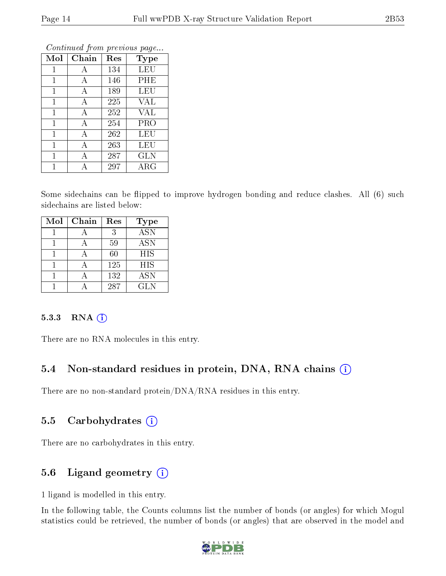| Mol          | Chain | Res | <b>Type</b> |
|--------------|-------|-----|-------------|
| $\mathbf{1}$ | А     | 134 | LEU         |
| 1            | А     | 146 | PHE         |
| $\mathbf{1}$ | А     | 189 | LEU         |
| $\mathbf{1}$ | А     | 225 | <b>VAL</b>  |
| 1            | А     | 252 | <b>VAL</b>  |
| $\mathbf{1}$ | А     | 254 | PRO         |
| $\mathbf{1}$ | А     | 262 | LEU         |
| 1            | А     | 263 | LEU         |
| 1            | А     | 287 | <b>GLN</b>  |
| 1            | Д     | 297 | $\rm{ARG}$  |

Some sidechains can be flipped to improve hydrogen bonding and reduce clashes. All (6) such sidechains are listed below:

| Mol | Chain | Res | <b>Type</b> |
|-----|-------|-----|-------------|
|     |       | 3   | <b>ASN</b>  |
|     |       | 59  | <b>ASN</b>  |
|     |       | 60  | <b>HIS</b>  |
|     |       | 125 | <b>HIS</b>  |
|     |       | 132 | ASN         |
|     |       | 287 | GLN         |

#### $5.3.3$  RNA  $(i)$

There are no RNA molecules in this entry.

### 5.4 Non-standard residues in protein, DNA, RNA chains (i)

There are no non-standard protein/DNA/RNA residues in this entry.

#### 5.5 Carbohydrates (i)

There are no carbohydrates in this entry.

### 5.6 Ligand geometry (i)

1 ligand is modelled in this entry.

In the following table, the Counts columns list the number of bonds (or angles) for which Mogul statistics could be retrieved, the number of bonds (or angles) that are observed in the model and

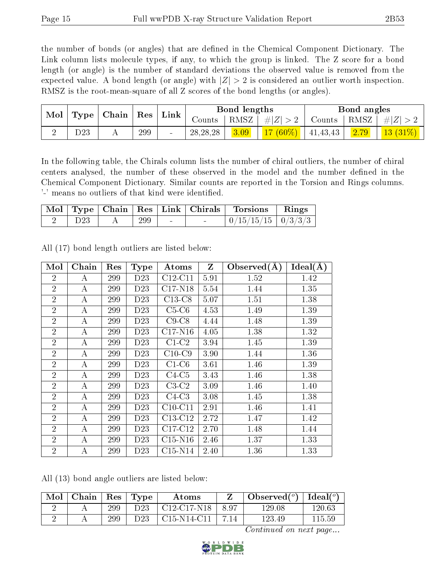the number of bonds (or angles) that are defined in the Chemical Component Dictionary. The Link column lists molecule types, if any, to which the group is linked. The Z score for a bond length (or angle) is the number of standard deviations the observed value is removed from the expected value. A bond length (or angle) with  $|Z| > 2$  is considered an outlier worth inspection. RMSZ is the root-mean-square of all Z scores of the bond lengths (or angles).

| Mol | Chain<br>Type |  | $\operatorname{Res}$ |        | Bond lengths<br>$\mathop{\rm Link}\nolimits$ |      | Bond angles |            |      |            |
|-----|---------------|--|----------------------|--------|----------------------------------------------|------|-------------|------------|------|------------|
|     |               |  |                      |        | RMSZ<br>Counts                               |      | $\# Z $     | Counts     | RMSZ | $\# Z $    |
|     | D23           |  | 299                  | $\sim$ | 28, 28, 28                                   | 3.09 | $17(60\%)$  | 41, 43, 43 | 2.79 | $13(31\%)$ |

In the following table, the Chirals column lists the number of chiral outliers, the number of chiral centers analysed, the number of these observed in the model and the number defined in the Chemical Component Dictionary. Similar counts are reported in the Torsion and Rings columns. '-' means no outliers of that kind were identified.

|            |     |        | Mol   Type   Chain   Res   Link   Chirals   Torsions   Rings |  |
|------------|-----|--------|--------------------------------------------------------------|--|
| $\rm{D}23$ | 299 | $\sim$ | $0/15/15/15$   $0/3/3/3$                                     |  |

| Mol            | Chain | Res | <b>Type</b>     | Atoms                            | Z    | Observed $(A)$ | $Ideal(\AA)$ |
|----------------|-------|-----|-----------------|----------------------------------|------|----------------|--------------|
| $\overline{2}$ | А     | 299 | D23             | $C12-C11$                        | 5.91 | 1.52           | 1.42         |
| $\overline{2}$ | А     | 299 | D <sub>23</sub> | $C17-N18$                        | 5.54 | 1.44           | 1.35         |
| $\overline{2}$ | А     | 299 | D <sub>23</sub> | $C13-C8$                         | 5.07 | 1.51           | 1.38         |
| $\overline{2}$ | А     | 299 | D <sub>23</sub> | $C5-C6$                          | 4.53 | 1.49           | 1.39         |
| $\overline{2}$ | А     | 299 | D <sub>23</sub> | $C9-C8$                          | 4.44 | 1.48           | 1.39         |
| $\overline{2}$ | А     | 299 | D <sub>23</sub> | $C17-N16$                        | 4.05 | 1.38           | 1.32         |
| $\overline{2}$ | А     | 299 | D <sub>23</sub> | $C1-C2$                          | 3.94 | 1.45           | 1.39         |
| $\overline{2}$ | А     | 299 | D <sub>23</sub> | $C10-C9$                         | 3.90 | 1.44           | 1.36         |
| $\overline{2}$ | A     | 299 | D <sub>23</sub> | $C1-C6$                          | 3.61 | 1.46           | 1.39         |
| $\overline{2}$ | A     | 299 | D <sub>23</sub> | $C4-C5$                          | 3.43 | 1.46           | 1.38         |
| $\overline{2}$ | А     | 299 | D <sub>23</sub> | $C3-C2$                          | 3.09 | 1.46           | 1.40         |
| $\overline{2}$ | А     | 299 | D23             | $C4-C3$                          | 3.08 | 1.45           | 1.38         |
| $\overline{2}$ | A     | 299 | D <sub>23</sub> | $C10-C11$                        | 2.91 | 1.46           | 1.41         |
| $\overline{2}$ | A     | 299 | D <sub>23</sub> | C <sub>13</sub> -C <sub>12</sub> | 2.72 | 1.47           | 1.42         |
| $\overline{2}$ | А     | 299 | D <sub>23</sub> | $C17-C12$                        | 2.70 | 1.48           | 1.44         |
| $\overline{2}$ | А     | 299 | D <sub>23</sub> | $C15-N16$                        | 2.46 | 1.37           | 1.33         |
| $\overline{2}$ | Α     | 299 | D <sub>23</sub> | $C15-N14$                        | 2.40 | 1.36           | 1.33         |

All (17) bond length outliers are listed below:

All (13) bond angle outliers are listed below:

| Mol | Chain | $\operatorname{Res}$ | $\mathbf{T}$ Type | Atoms         |      | Observed $(^\circ)$ | Ideal( $^o$ ) |
|-----|-------|----------------------|-------------------|---------------|------|---------------------|---------------|
|     |       | 299                  | D23               | $C12-C17-N18$ | 8.97 | 129.08              | 120.63        |
|     |       | 299                  | D23               | $C15-N14-C11$ | 7.14 | 12349               | 115.59        |

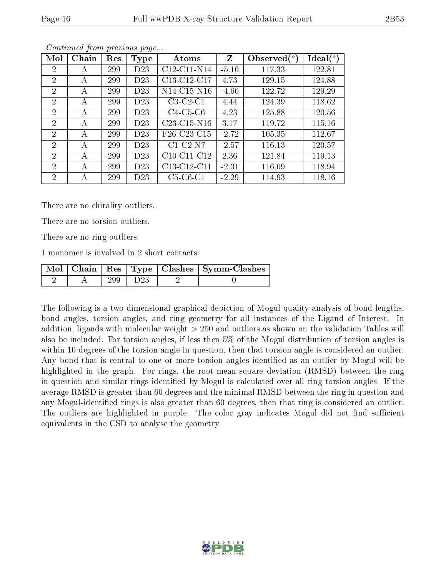| Mol                         | Chain | Res | Type            | Atoms          | Z       | Observed $(°)$ | $\text{Ideal}({}^o)$ |
|-----------------------------|-------|-----|-----------------|----------------|---------|----------------|----------------------|
| $\overline{2}$              | А     | 299 | D <sub>23</sub> | $C12-C11-N14$  | $-5.16$ | 117.33         | 122.81               |
| $\overline{2}$              | А     | 299 | D <sub>23</sub> | C13-C12-C17    | 4.73    | 129.15         | 124.88               |
| $\overline{2}$              | А     | 299 | D <sub>23</sub> | $N14$ -C15-N16 | $-4.60$ | 122.72         | 129.29               |
| $\overline{2}$              | А     | 299 | D <sub>23</sub> | $C3-C2-C1$     | 4.44    | 124.39         | 118.62               |
| $\overline{2}$              | А     | 299 | D <sub>23</sub> | $C4-C5-C6$     | 4.23    | 125.88         | 120.56               |
| $\overline{2}$              | А     | 299 | D <sub>23</sub> | $C23-C15-N16$  | 3.17    | 119.72         | 115.16               |
| $\mathcal{D}_{\mathcal{A}}$ | A     | 299 | D <sub>23</sub> | F26-C23-C15    | $-2.72$ | 105.35         | 112.67               |
| $\mathcal{D}_{\mathcal{A}}$ | А     | 299 | D <sub>23</sub> | $C1-C2-N7$     | $-2.57$ | 116.13         | 120.57               |
| 2                           | А     | 299 | D <sub>23</sub> | $C10-C11-C12$  | 2.36    | 121.84         | 119.13               |
| $\mathfrak{D}$              | А     | 299 | D <sub>23</sub> | C13-C12-C11    | $-2.31$ | 116.09         | 118.94               |
| $\overline{2}$              | А     | 299 | D <sub>23</sub> | $C5-C6-C1$     | $-2.29$ | 114.93         | 118.16               |

There are no chirality outliers.

There are no torsion outliers.

There are no ring outliers.

1 monomer is involved in 2 short contacts:

|  |     |                 | Mol   Chain   Res   Type   Clashes   Symm-Clashes |
|--|-----|-----------------|---------------------------------------------------|
|  | 299 | D <sub>23</sub> |                                                   |

The following is a two-dimensional graphical depiction of Mogul quality analysis of bond lengths, bond angles, torsion angles, and ring geometry for all instances of the Ligand of Interest. In addition, ligands with molecular weight > 250 and outliers as shown on the validation Tables will also be included. For torsion angles, if less then 5% of the Mogul distribution of torsion angles is within 10 degrees of the torsion angle in question, then that torsion angle is considered an outlier. Any bond that is central to one or more torsion angles identified as an outlier by Mogul will be highlighted in the graph. For rings, the root-mean-square deviation (RMSD) between the ring in question and similar rings identified by Mogul is calculated over all ring torsion angles. If the average RMSD is greater than 60 degrees and the minimal RMSD between the ring in question and any Mogul-identified rings is also greater than 60 degrees, then that ring is considered an outlier. The outliers are highlighted in purple. The color gray indicates Mogul did not find sufficient equivalents in the CSD to analyse the geometry.

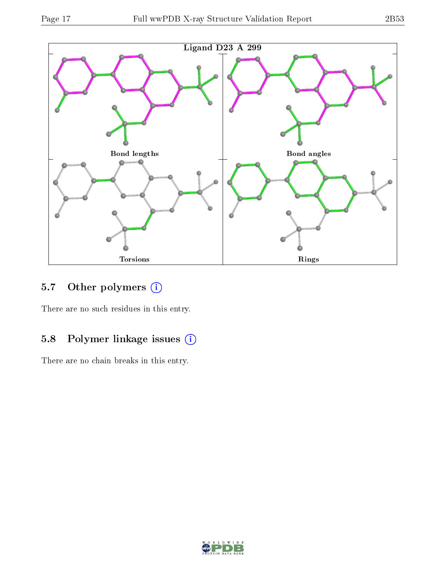

## 5.7 [O](https://www.wwpdb.org/validation/2017/XrayValidationReportHelp#nonstandard_residues_and_ligands)ther polymers (i)

There are no such residues in this entry.

## 5.8 Polymer linkage issues (i)

There are no chain breaks in this entry.

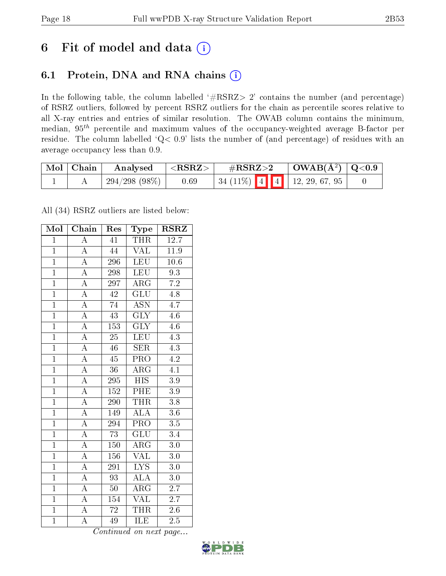# 6 Fit of model and data  $(i)$

## 6.1 Protein, DNA and RNA chains  $(i)$

In the following table, the column labelled  $#RSRZ> 2'$  contains the number (and percentage) of RSRZ outliers, followed by percent RSRZ outliers for the chain as percentile scores relative to all X-ray entries and entries of similar resolution. The OWAB column contains the minimum, median,  $95<sup>th</sup>$  percentile and maximum values of the occupancy-weighted average B-factor per residue. The column labelled ' $Q< 0.9$ ' lists the number of (and percentage) of residues with an average occupancy less than 0.9.

| $\mid$ Mol $\mid$ | $\vert$ Chain | Analysed        | ${ <\hspace{-1.5pt}{\mathrm{RSRZ}} \hspace{-1.5pt}>}$ | $\#\mathrm{RSRZ}{>}2$             | $\vert$ OWAB(Å <sup>2</sup> ) $\vert$ Q<0.9 |  |
|-------------------|---------------|-----------------|-------------------------------------------------------|-----------------------------------|---------------------------------------------|--|
|                   |               | $294/298(98\%)$ | 0.69                                                  | 34 (11%)   4   4   12, 29, 67, 95 |                                             |  |

All (34) RSRZ outliers are listed below:

| Mol            | Chain                   | Res             | Type                      | <b>RSRZ</b>      |
|----------------|-------------------------|-----------------|---------------------------|------------------|
| $\mathbf{1}$   | $\overline{\rm A}$      | 41              | THR                       | 12.7             |
| $\mathbf{1}$   | $\overline{A}$          | 44              | <b>VAL</b>                | 11.9             |
| $\overline{1}$ | $\overline{A}$          | 296             | <b>LEU</b>                | 10.6             |
| $\overline{1}$ | $\overline{\rm A}$      | 298             | <b>LEU</b>                | 9.3              |
| $\overline{1}$ | $\overline{\rm A}$      | 297             | $\overline{\rm{ARG}}$     | $\overline{7.2}$ |
| $\overline{1}$ | $\overline{\rm A}$      | $42\,$          | $\overline{\mathrm{GLU}}$ | $4.\overline{8}$ |
| $\overline{1}$ | $\overline{A}$          | 74              | <b>ASN</b>                | 4.7              |
| $\overline{1}$ | $\overline{A}$          | 43              | $\overline{\text{GLY}}$   | $4.6\,$          |
| $\overline{1}$ | $\overline{\rm A}$      | 153             | $\overline{\text{GLY}}$   | 4.6              |
| $\overline{1}$ | $\overline{\rm A}$      | $\overline{25}$ | <b>LEU</b>                | $\overline{4.3}$ |
| $\overline{1}$ | $\overline{\rm A}$      | 46              | <b>SER</b>                | 4.3              |
| $\overline{1}$ | $\overline{\rm A}$      | $\overline{45}$ | $\overline{\text{PRO}}$   | $\overline{4.2}$ |
| $\overline{1}$ | $\overline{A}$          | $\overline{36}$ | $\rm{ARG}$                | 4.1              |
| $\overline{1}$ | $\overline{\rm A}$      | 295             | $\overline{H}$ IS         | 3.9              |
| $\overline{1}$ | $\overline{A}$          | 152             | <b>PHE</b>                | $3.9\,$          |
| $\overline{1}$ | $\overline{A}$          | 290             | <b>THR</b>                | $\overline{3.8}$ |
| $\overline{1}$ | $\overline{\rm A}$      | 149             | <b>ALA</b>                | $\overline{3.6}$ |
| $\overline{1}$ | $\overline{\rm A}$      | 294             | $\overline{\text{PRO}}$   | $\overline{3.5}$ |
| $\overline{1}$ | $\overline{\rm A}$      | $\overline{73}$ | $\overline{\text{GLU}}$   | $\overline{3.4}$ |
| $\overline{1}$ | $\overline{\rm A}$      | 150             | $\rm{ARG}$                | 3.0              |
| $\overline{1}$ | $\overline{\rm A}$      | 156             | $\overline{\text{VAL}}$   | 3.0              |
| $\overline{1}$ | $\overline{\rm A}$      | 291             | $\overline{\text{LYS}}$   | $3.0\,$          |
| $\overline{1}$ | $\boldsymbol{A}$        | 93              | $\overline{\rm ALA}$      | $3.0\,$          |
| $\overline{1}$ | $\overline{A}$          | $50\,$          | $\rm{ARG}$                | $\overline{2.7}$ |
| $\overline{1}$ | $\overline{\mathbf{A}}$ | 154             | <b>VAL</b>                | 2.7              |
| $\overline{1}$ | $\overline{\rm A}$      | $\overline{72}$ | <b>THR</b>                | 2.6              |
| $\overline{1}$ | $\overline{\rm A}$      | $4\overline{9}$ | ILE                       | $\overline{2.5}$ |

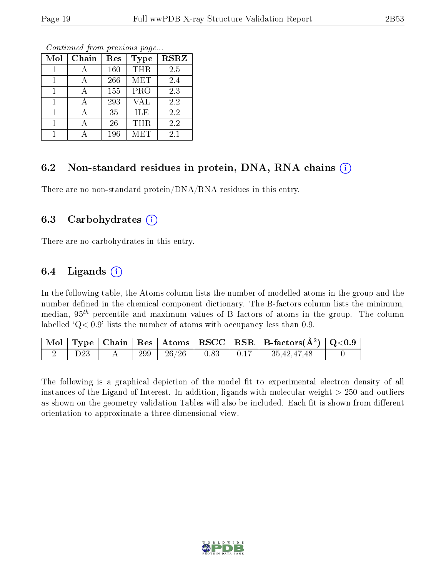| Mol | Chain | Res | Type                    | <b>RSRZ</b> |
|-----|-------|-----|-------------------------|-------------|
|     |       | 160 | <b>THR</b>              | 2.5         |
|     |       | 266 | <b>MET</b>              | 2.4         |
|     |       | 155 | $\overline{\text{PRO}}$ | 2.3         |
|     | А     | 293 | <b>VAL</b>              | 2.2         |
|     |       | 35  | ILE                     | 2.2         |
|     |       | 26  | THR                     | 2.2         |
|     |       | 196 | MET                     | 2.1         |

### 6.2 Non-standard residues in protein, DNA, RNA chains  $(i)$

There are no non-standard protein/DNA/RNA residues in this entry.

#### 6.3 Carbohydrates  $(i)$

There are no carbohydrates in this entry.

### 6.4 Ligands  $(i)$

In the following table, the Atoms column lists the number of modelled atoms in the group and the number defined in the chemical component dictionary. The B-factors column lists the minimum, median,  $95<sup>th</sup>$  percentile and maximum values of B factors of atoms in the group. The column labelled  $Q < 0.9$ ' lists the number of atoms with occupancy less than 0.9.

|                 |     |  | $\boxed{\text{ Mol}}$ Type   Chain   Res   Atoms   RSCC   RSR   B-factors $(\AA^2)$   Q<0.9                                                  |  |
|-----------------|-----|--|----------------------------------------------------------------------------------------------------------------------------------------------|--|
| D <sub>23</sub> | 299 |  | $\begin{array}{ c c c c c c c c c } \hline \end{array}$ $\begin{array}{ c c c c c c } \hline 0.83 & 0.17 & 35,42,47,48 \ \hline \end{array}$ |  |

The following is a graphical depiction of the model fit to experimental electron density of all instances of the Ligand of Interest. In addition, ligands with molecular weight  $> 250$  and outliers as shown on the geometry validation Tables will also be included. Each fit is shown from different orientation to approximate a three-dimensional view.